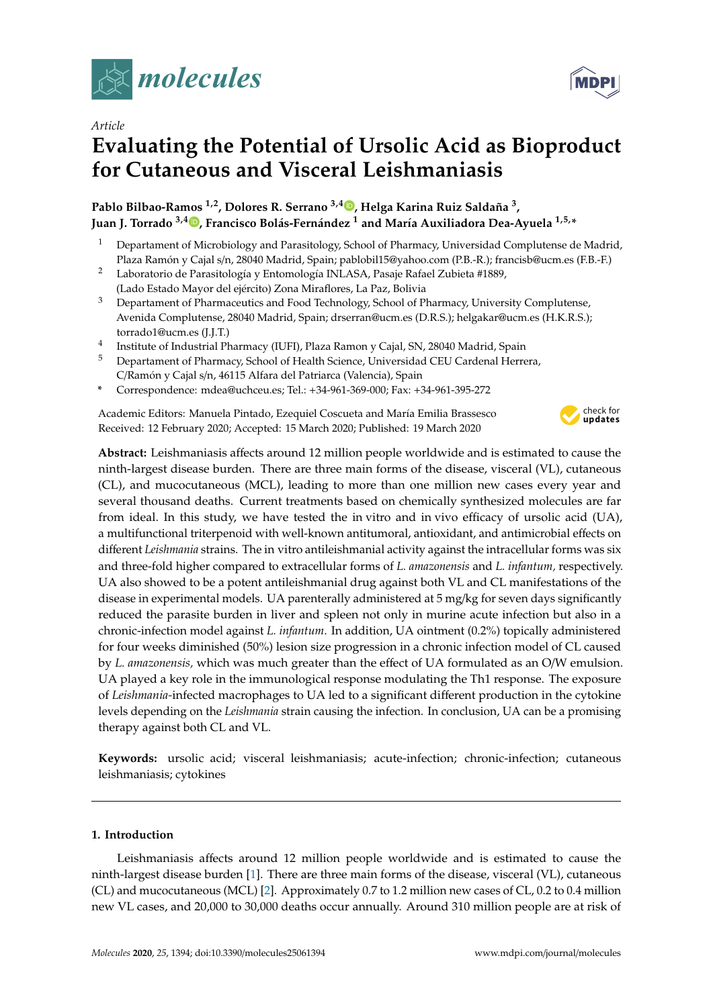

*Article*

# **Evaluating the Potential of Ursolic Acid as Bioproduct for Cutaneous and Visceral Leishmaniasis**

# **Pablo Bilbao-Ramos 1,2, Dolores R. Serrano 3,4 [,](https://orcid.org/0000-0002-0475-8420) Helga Karina Ruiz Saldaña <sup>3</sup> , Juan J. Torrado 3,4 [,](https://orcid.org/0000-0002-7823-1904) Francisco Bolás-Fernández <sup>1</sup> and María Auxiliadora Dea-Ayuela 1,5,\***

- <sup>1</sup> Departament of Microbiology and Parasitology, School of Pharmacy, Universidad Complutense de Madrid, Plaza Ramón y Cajal s/n, 28040 Madrid, Spain; pablobil15@yahoo.com (P.B.-R.); francisb@ucm.es (F.B.-F.)
- <sup>2</sup> Laboratorio de Parasitología y Entomología INLASA, Pasaje Rafael Zubieta #1889, (Lado Estado Mayor del ejército) Zona Miraflores, La Paz, Bolivia
- <sup>3</sup> Departament of Pharmaceutics and Food Technology, School of Pharmacy, University Complutense, Avenida Complutense, 28040 Madrid, Spain; drserran@ucm.es (D.R.S.); helgakar@ucm.es (H.K.R.S.); torrado1@ucm.es (J.J.T.)
- 4 Institute of Industrial Pharmacy (IUFI), Plaza Ramon y Cajal, SN, 28040 Madrid, Spain
- <sup>5</sup> Departament of Pharmacy, School of Health Science, Universidad CEU Cardenal Herrera, C/Ramón y Cajal s/n, 46115 Alfara del Patriarca (Valencia), Spain
- **\*** Correspondence: mdea@uchceu.es; Tel.: +34-961-369-000; Fax: +34-961-395-272

Academic Editors: Manuela Pintado, Ezequiel Coscueta and María Emilia Brassesco Received: 12 February 2020; Accepted: 15 March 2020; Published: 19 March 2020



**Abstract:** Leishmaniasis affects around 12 million people worldwide and is estimated to cause the ninth-largest disease burden. There are three main forms of the disease, visceral (VL), cutaneous (CL), and mucocutaneous (MCL), leading to more than one million new cases every year and several thousand deaths. Current treatments based on chemically synthesized molecules are far from ideal. In this study, we have tested the in vitro and in vivo efficacy of ursolic acid (UA), a multifunctional triterpenoid with well-known antitumoral, antioxidant, and antimicrobial effects on different *Leishmania* strains. The in vitro antileishmanial activity against the intracellular forms was six and three-fold higher compared to extracellular forms of *L. amazonensis* and *L. infantum,* respectively. UA also showed to be a potent antileishmanial drug against both VL and CL manifestations of the disease in experimental models. UA parenterally administered at 5 mg/kg for seven days significantly reduced the parasite burden in liver and spleen not only in murine acute infection but also in a chronic-infection model against *L. infantum*. In addition, UA ointment (0.2%) topically administered for four weeks diminished (50%) lesion size progression in a chronic infection model of CL caused by *L. amazonensis,* which was much greater than the effect of UA formulated as an O/W emulsion. UA played a key role in the immunological response modulating the Th1 response. The exposure of *Leishmania-*infected macrophages to UA led to a significant different production in the cytokine levels depending on the *Leishmania* strain causing the infection. In conclusion, UA can be a promising therapy against both CL and VL.

**Keywords:** ursolic acid; visceral leishmaniasis; acute-infection; chronic-infection; cutaneous leishmaniasis; cytokines

# **1. Introduction**

Leishmaniasis affects around 12 million people worldwide and is estimated to cause the ninth-largest disease burden [\[1\]](#page-11-0). There are three main forms of the disease, visceral (VL), cutaneous (CL) and mucocutaneous (MCL) [\[2\]](#page-11-1). Approximately 0.7 to 1.2 million new cases of CL, 0.2 to 0.4 million new VL cases, and 20,000 to 30,000 deaths occur annually. Around 310 million people are at risk of

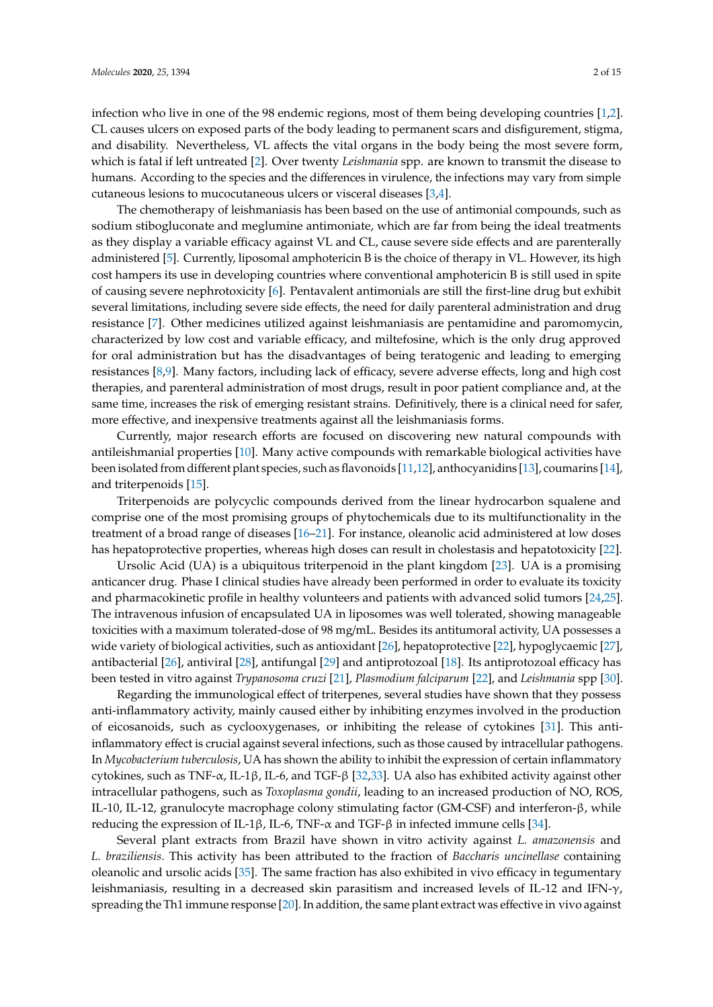infection who live in one of the 98 endemic regions, most of them being developing countries [\[1,](#page-11-0)[2\]](#page-11-1). CL causes ulcers on exposed parts of the body leading to permanent scars and disfigurement, stigma, and disability. Nevertheless, VL affects the vital organs in the body being the most severe form, which is fatal if left untreated [\[2\]](#page-11-1). Over twenty *Leishmania* spp. are known to transmit the disease to humans. According to the species and the differences in virulence, the infections may vary from simple cutaneous lesions to mucocutaneous ulcers or visceral diseases [\[3](#page-11-2)[,4\]](#page-12-0).

The chemotherapy of leishmaniasis has been based on the use of antimonial compounds, such as sodium stibogluconate and meglumine antimoniate, which are far from being the ideal treatments as they display a variable efficacy against VL and CL, cause severe side effects and are parenterally administered [\[5\]](#page-12-1). Currently, liposomal amphotericin B is the choice of therapy in VL. However, its high cost hampers its use in developing countries where conventional amphotericin B is still used in spite of causing severe nephrotoxicity [\[6\]](#page-12-2). Pentavalent antimonials are still the first-line drug but exhibit several limitations, including severe side effects, the need for daily parenteral administration and drug resistance [\[7\]](#page-12-3). Other medicines utilized against leishmaniasis are pentamidine and paromomycin, characterized by low cost and variable efficacy, and miltefosine, which is the only drug approved for oral administration but has the disadvantages of being teratogenic and leading to emerging resistances [\[8](#page-12-4)[,9\]](#page-12-5). Many factors, including lack of efficacy, severe adverse effects, long and high cost therapies, and parenteral administration of most drugs, result in poor patient compliance and, at the same time, increases the risk of emerging resistant strains. Definitively, there is a clinical need for safer, more effective, and inexpensive treatments against all the leishmaniasis forms.

Currently, major research efforts are focused on discovering new natural compounds with antileishmanial properties [\[10\]](#page-12-6). Many active compounds with remarkable biological activities have been isolated from different plant species, such as flavonoids [\[11,](#page-12-7)[12\]](#page-12-8), anthocyanidins [\[13\]](#page-12-9), coumarins [\[14\]](#page-12-10), and triterpenoids [\[15\]](#page-12-11).

Triterpenoids are polycyclic compounds derived from the linear hydrocarbon squalene and comprise one of the most promising groups of phytochemicals due to its multifunctionality in the treatment of a broad range of diseases [\[16–](#page-12-12)[21\]](#page-12-13). For instance, oleanolic acid administered at low doses has hepatoprotective properties, whereas high doses can result in cholestasis and hepatotoxicity [\[22\]](#page-12-14).

Ursolic Acid (UA) is a ubiquitous triterpenoid in the plant kingdom [\[23\]](#page-12-15). UA is a promising anticancer drug. Phase I clinical studies have already been performed in order to evaluate its toxicity and pharmacokinetic profile in healthy volunteers and patients with advanced solid tumors [\[24,](#page-12-16)[25\]](#page-13-0). The intravenous infusion of encapsulated UA in liposomes was well tolerated, showing manageable toxicities with a maximum tolerated-dose of 98 mg/mL. Besides its antitumoral activity, UA possesses a wide variety of biological activities, such as antioxidant [\[26\]](#page-13-1), hepatoprotective [\[22\]](#page-12-14), hypoglycaemic [\[27\]](#page-13-2), antibacterial [\[26\]](#page-13-1), antiviral [\[28\]](#page-13-3), antifungal [\[29\]](#page-13-4) and antiprotozoal [\[18\]](#page-12-17). Its antiprotozoal efficacy has been tested in vitro against *Trypanosoma cruzi* [\[21\]](#page-12-13), *Plasmodium falciparum* [\[22\]](#page-12-14), and *Leishmania* spp [\[30\]](#page-13-5).

Regarding the immunological effect of triterpenes, several studies have shown that they possess anti-inflammatory activity, mainly caused either by inhibiting enzymes involved in the production of eicosanoids, such as cyclooxygenases, or inhibiting the release of cytokines [\[31\]](#page-13-6). This antiinflammatory effect is crucial against several infections, such as those caused by intracellular pathogens. In *Mycobacterium tuberculosis*, UA has shown the ability to inhibit the expression of certain inflammatory cytokines, such as TNF-α, IL-1β, IL-6, and TGF-β [\[32,](#page-13-7)[33\]](#page-13-8). UA also has exhibited activity against other intracellular pathogens, such as *Toxoplasma gondii*, leading to an increased production of NO, ROS, IL-10, IL-12, granulocyte macrophage colony stimulating factor (GM-CSF) and interferon-β, while reducing the expression of IL-1β, IL-6, TNF- $\alpha$  and TGF-β in infected immune cells [\[34\]](#page-13-9).

Several plant extracts from Brazil have shown in vitro activity against *L. amazonensis* and *L. braziliensis*. This activity has been attributed to the fraction of *Baccharis uncinellase* containing oleanolic and ursolic acids [\[35\]](#page-13-10). The same fraction has also exhibited in vivo efficacy in tegumentary leishmaniasis, resulting in a decreased skin parasitism and increased levels of IL-12 and IFN-γ, spreading the Th1 immune response [\[20\]](#page-12-18). In addition, the same plant extract was effective in vivo against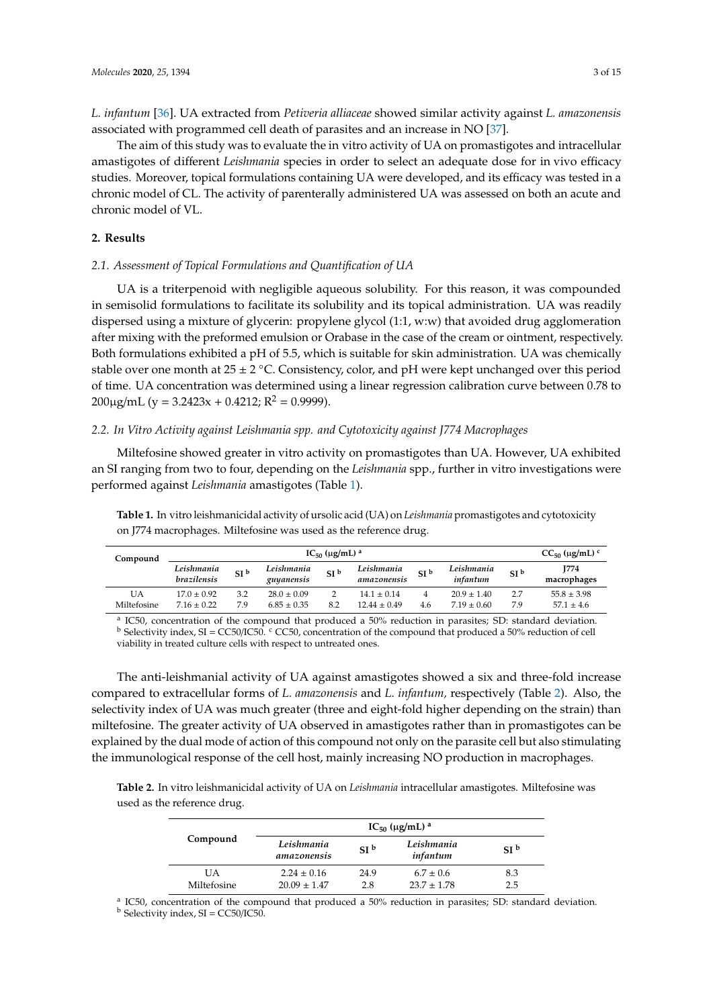*L. infantum* [\[36\]](#page-13-11). UA extracted from *Petiveria alliaceae* showed similar activity against *L. amazonensis* associated with programmed cell death of parasites and an increase in NO [\[37\]](#page-13-12).

The aim of this study was to evaluate the in vitro activity of UA on promastigotes and intracellular amastigotes of different *Leishmania* species in order to select an adequate dose for in vivo efficacy studies. Moreover, topical formulations containing UA were developed, and its efficacy was tested in a chronic model of CL. The activity of parenterally administered UA was assessed on both an acute and chronic model of VL.

### **2. Results**

# *2.1. Assessment of Topical Formulations and Quantification of UA*

UA is a triterpenoid with negligible aqueous solubility. For this reason, it was compounded in semisolid formulations to facilitate its solubility and its topical administration. UA was readily dispersed using a mixture of glycerin: propylene glycol (1:1, w:w) that avoided drug agglomeration after mixing with the preformed emulsion or Orabase in the case of the cream or ointment, respectively. Both formulations exhibited a pH of 5.5, which is suitable for skin administration. UA was chemically stable over one month at  $25 \pm 2$  °C. Consistency, color, and pH were kept unchanged over this period of time. UA concentration was determined using a linear regression calibration curve between 0.78 to 200 $\mu$ g/mL (y = 3.2423x + 0.4212; R<sup>2</sup> = 0.9999).

#### *2.2. In Vitro Activity against Leishmania spp. and Cytotoxicity against J774 Macrophages*

Miltefosine showed greater in vitro activity on promastigotes than UA. However, UA exhibited an SI ranging from two to four, depending on the *Leishmania* spp., further in vitro investigations were performed against *Leishmania* amastigotes (Table [1\)](#page-2-0).

| Compound | $IC_{50}$ (µg/mL) <sup>a</sup> |                 |                          |                 |                           |                 | $CC_{50}$ (µg/mL) $^{c}$ |                 |                     |
|----------|--------------------------------|-----------------|--------------------------|-----------------|---------------------------|-----------------|--------------------------|-----------------|---------------------|
|          | Leishmania<br>brazilensis      | SI <sup>b</sup> | Leishmania<br>guyanensis | SI <sup>b</sup> | Leishmania<br>amazonensis | SI <sup>b</sup> | Leishmania<br>infantum   | SI <sup>b</sup> | 1774<br>macrophages |
| UA       | $17.0 + 0.92$                  | 3.2             | $28.0 + 0.09$            |                 | $14.1 + 0.14$             |                 | $20.9 \pm 1.40$          | 2.7             | $55.8 \pm 3.98$     |

<span id="page-2-0"></span>**Table 1.** In vitro leishmanicidal activity of ursolic acid (UA) on *Leishmania* promastigotes and cytotoxicity on J774 macrophages. Miltefosine was used as the reference drug.

a IC50, concentration of the compound that produced a 50% reduction in parasites; SD: standard deviation.  $<sup>b</sup>$  Selectivity index, SI = CC50/IC50. <sup>c</sup> CC50, concentration of the compound that produced a 50% reduction of cell</sup> viability in treated culture cells with respect to untreated ones.

Miltefosine  $7.16 \pm 0.22$   $7.9$   $6.85 \pm 0.35$   $8.2$   $12.44 \pm 0.49$   $4.6$   $7.19 \pm 0.60$   $7.9$   $57.1 \pm 4.6$ 

The anti-leishmanial activity of UA against amastigotes showed a six and three-fold increase compared to extracellular forms of *L. amazonensis* and *L. infantum,* respectively (Table [2\)](#page-2-1). Also, the selectivity index of UA was much greater (three and eight-fold higher depending on the strain) than miltefosine. The greater activity of UA observed in amastigotes rather than in promastigotes can be explained by the dual mode of action of this compound not only on the parasite cell but also stimulating the immunological response of the cell host, mainly increasing NO production in macrophages.

<span id="page-2-1"></span>**Table 2.** In vitro leishmanicidal activity of UA on *Leishmania* intracellular amastigotes. Miltefosine was used as the reference drug.

|                   | $IC_{50}$ (µg/mL) <sup>a</sup>      |                 |                                  |                 |  |
|-------------------|-------------------------------------|-----------------|----------------------------------|-----------------|--|
| Compound          | Leishmania<br>amazonensis           | SI <sup>b</sup> | Leishmania<br>infantum           | SI <sup>b</sup> |  |
| UA<br>Miltefosine | $2.24 \pm 0.16$<br>$20.09 \pm 1.47$ | 24.9<br>2.8     | $6.7 \pm 0.6$<br>$23.7 \pm 1.78$ | 8.3<br>2.5      |  |

<sup>a</sup> IC50, concentration of the compound that produced a 50% reduction in parasites; SD: standard deviation.  $<sup>b</sup>$  Selectivity index, SI = CC50/IC50.</sup>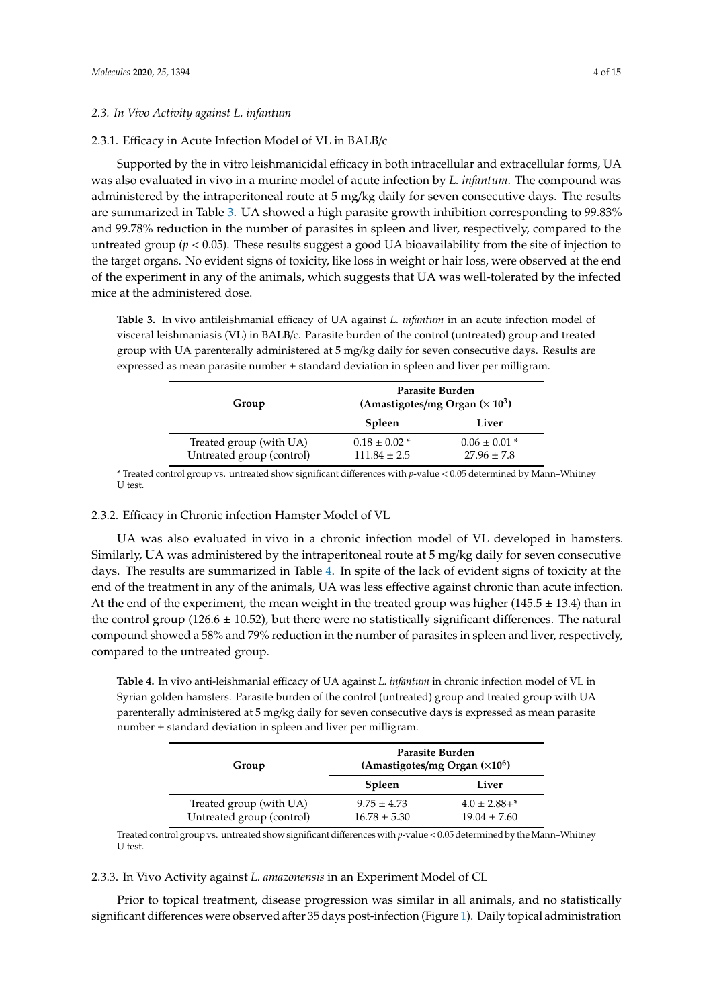#### *2.3. In Vivo Activity against L. infantum*

#### 2.3.1. Efficacy in Acute Infection Model of VL in BALB/c

Supported by the in vitro leishmanicidal efficacy in both intracellular and extracellular forms, UA was also evaluated in vivo in a murine model of acute infection by *L. infantum*. The compound was administered by the intraperitoneal route at 5 mg/kg daily for seven consecutive days. The results are summarized in Table [3.](#page-3-0) UA showed a high parasite growth inhibition corresponding to 99.83% and 99.78% reduction in the number of parasites in spleen and liver, respectively, compared to the untreated group (*p* < 0.05). These results suggest a good UA bioavailability from the site of injection to the target organs. No evident signs of toxicity, like loss in weight or hair loss, were observed at the end of the experiment in any of the animals, which suggests that UA was well-tolerated by the infected mice at the administered dose.

<span id="page-3-0"></span>**Table 3.** In vivo antileishmanial efficacy of UA against *L. infantum* in an acute infection model of visceral leishmaniasis (VL) in BALB/c. Parasite burden of the control (untreated) group and treated group with UA parenterally administered at 5 mg/kg daily for seven consecutive days. Results are expressed as mean parasite number  $\pm$  standard deviation in spleen and liver per milligram.

| Group                                                | Parasite Burden<br>(Amastigotes/mg Organ $(\times 10^3)$ ) |                                      |  |  |
|------------------------------------------------------|------------------------------------------------------------|--------------------------------------|--|--|
|                                                      | Spleen                                                     | Liver                                |  |  |
| Treated group (with UA)<br>Untreated group (control) | $0.18 \pm 0.02$ *<br>$111.84 \pm 2.5$                      | $0.06 \pm 0.01$ *<br>$27.96 \pm 7.8$ |  |  |

\* Treated control group vs. untreated show significant differences with *p*-value < 0.05 determined by Mann–Whitney U test.

#### 2.3.2. Efficacy in Chronic infection Hamster Model of VL

UA was also evaluated in vivo in a chronic infection model of VL developed in hamsters. Similarly, UA was administered by the intraperitoneal route at 5 mg/kg daily for seven consecutive days. The results are summarized in Table [4.](#page-3-1) In spite of the lack of evident signs of toxicity at the end of the treatment in any of the animals, UA was less effective against chronic than acute infection. At the end of the experiment, the mean weight in the treated group was higher (145.5  $\pm$  13.4) than in the control group (126.6  $\pm$  10.52), but there were no statistically significant differences. The natural compound showed a 58% and 79% reduction in the number of parasites in spleen and liver, respectively, compared to the untreated group.

<span id="page-3-1"></span>**Table 4.** In vivo anti-leishmanial efficacy of UA against *L. infantum* in chronic infection model of VL in Syrian golden hamsters. Parasite burden of the control (untreated) group and treated group with UA parenterally administered at 5 mg/kg daily for seven consecutive days is expressed as mean parasite number  $\pm$  standard deviation in spleen and liver per milligram.

| Group                     | Parasite Burden<br>(Amastigotes/mg Organ $(\times 10^6)$ ) |                    |  |  |
|---------------------------|------------------------------------------------------------|--------------------|--|--|
|                           | Spleen                                                     | Liver              |  |  |
| Treated group (with UA)   | $9.75 \pm 4.73$                                            | $4.0 \pm 2.88 +$ * |  |  |
| Untreated group (control) | $16.78 \pm 5.30$                                           | $19.04 \pm 7.60$   |  |  |

Treated control group vs. untreated show significant differences with *p*-value < 0.05 determined by the Mann–Whitney U test.

#### 2.3.3. In Vivo Activity against *L. amazonensis* in an Experiment Model of CL

Prior to topical treatment, disease progression was similar in all animals, and no statistically significant differences were observed after 35 days post-infection (Figure [1\)](#page-4-0). Daily topical administration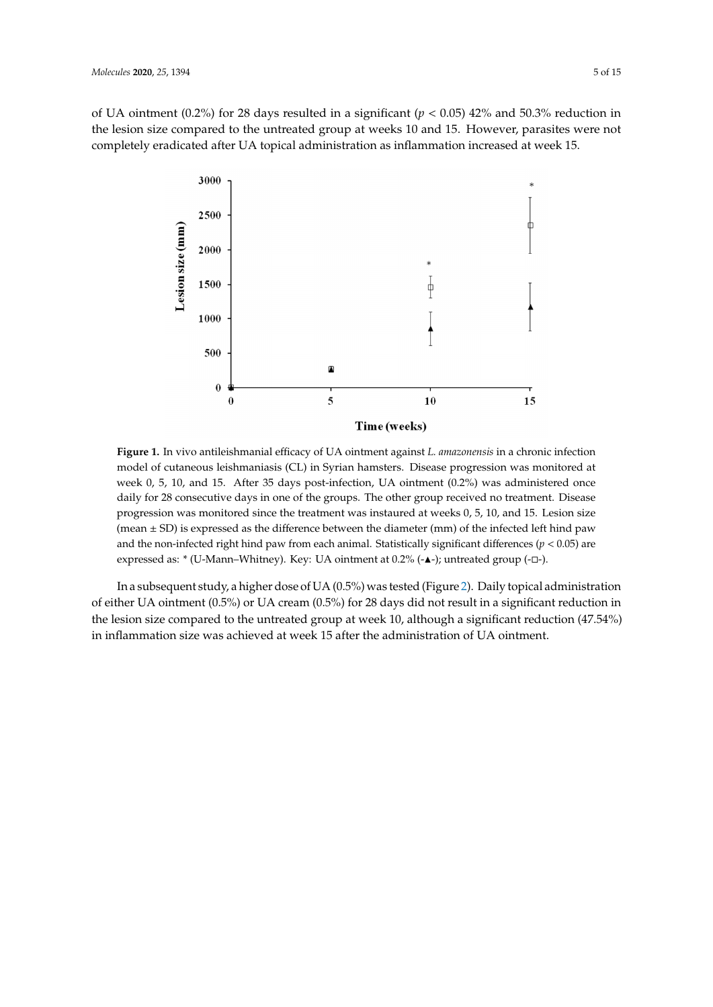<span id="page-4-0"></span>of UA ointment (0.2%) for 28 days resulted in a significant ( $p < 0.05$ ) 42% and 50.3% reduction in the lesion size compared to the untreated group at weeks 10 and 15. However, parasites were not completely eradicated after UA topical administration as inflammation increased at week 15.



Figure 1. In vivo antileishmanial efficacy of UA ointment against *L. amazonensis* in a chronic infection model of cutaneous leishmaniasis (CL) in Syrian hamsters. Disease progression was monitored at model of cutaneous leishmaniasis (CL) in Syrian hamsters. Disease progression was monitored at week 0, 5, 10, and 15. After 35 days post-infection, UA ointment  $(0.2%)$  was administered once daily for 28 consecutive days in one of the groups. The other group received no treatment. Disease progression was monitored since the treatment was instaured at weeks 0, 5, 10, and 15. Lesion size (mean  $\pm$  SD) is expressed as the difference between the diameter (mm) of the infected left hind paw and the non-infected right hind paw from each animal. Statistically significant differences (*p* < 0.05) are expressed as: \* (U-Mann–Whitney). Key: UA ointment at 0.2% (-▲-); untreated group (-□-). progression was monitored since the treatment was instaured at weeks 0, 5, 10, and 15. Lesion size

of either UA ointment (0.5%) or UA cream (0.5%) for 28 days did not result in a significant reduction in the lesion size compared to the untreated group at week 10, although a significant reduction (47.54%) in inflammation size was achieved at week 15 after the administration of UA ointment. significant reduction (47.54%) in inflammation size was achieved at week 15 after the administration In a subsequent study, a higher dose of UA (0.5%) was tested (Figure [2\)](#page-5-0). Daily topical administration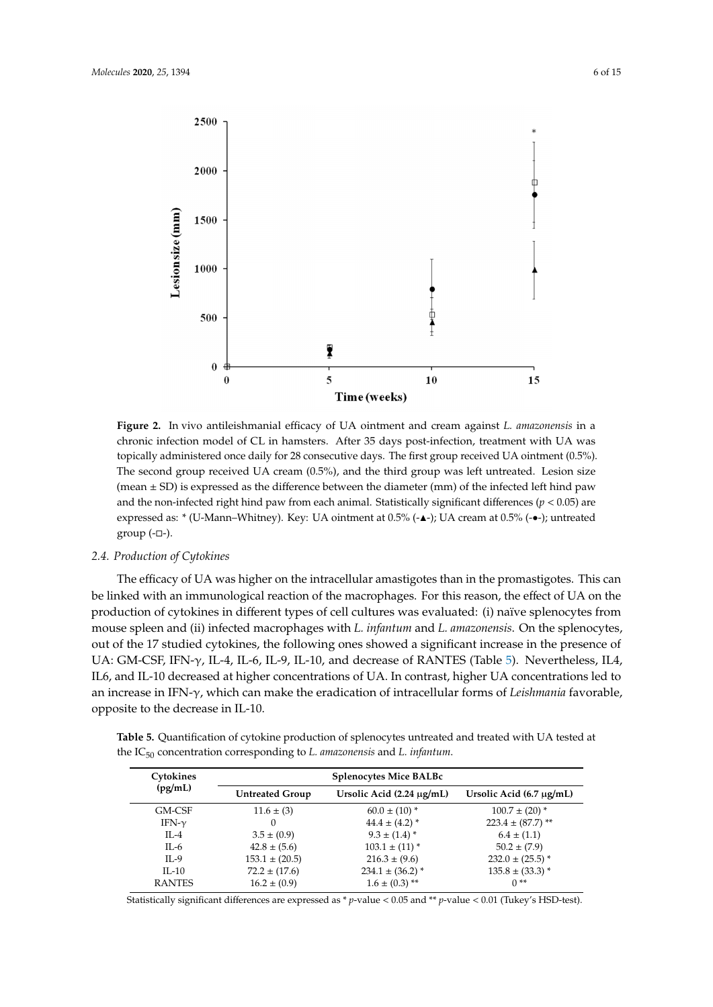<span id="page-5-0"></span>

**Figure 2.** In vivo antileishmanial efficacy of UA ointment and cream against *L. amazonensis*in a chronic chronic infection model of CL in hamsters. After 35 days post-infection, treatment with UA was infection model of CL in hamsters. After 35 days post-infection, treatment with UA was topically topically administered once daily for 28 consecutive days. The first group received UA ointment (0.5%). repressing administered once daily for 28 consecutive days. The mot group received on ominism (0.5%).<br>The second group received UA cream (0.5%), and the third group was left untreated. Lesion size second group received UA cream (0.5%), and the third group was left untreated. Lesion size (mean ± (mean ± SD) is expressed as the difference between the diameter (mm) of the infected left hind paw and the non-infected right hind paw from each animal. Statistically significant differences ( $p < 0.05$ ) are non-confected right hind particle right hind particle  $\frac{1}{2}$  and  $\frac{1}{2}$  are  $\frac{1}{2}$  are  $\frac{1}{2}$  and  $\frac{1}{2}$  are  $\frac{1}{2}$  are  $\frac{1}{2}$  are  $\frac{1}{2}$  are  $\frac{1}{2}$  are  $\frac{1}{2}$  are  $\frac{1}{2}$  are  $\frac{1}{2}$  are expressed as: \* (U-Mann–Whitney). Key: UA ointment at  $0.5\%$  (- $\blacktriangle$ -); UA cream at  $0.5\%$  (- $\blacktriangle$ -); untreated  $\blacktriangle$  $\mathbf{I}^{\text{max}}$ **Figure 2.** In vivo antileishmanial efficacy of UA ointment and cream against *L. amazonensis* in a  $group (-\Box).$ 

## *2.4. Production of Cytokines*

*2.4. Production of Cytokines* The efficacy of UA was higher on the intracellular amastigotes than in the promastigotes. This can be linked with an immunological reaction of the macrophages. For this reason, the effect of UA on the production of cytokines in different types of cell cultures was evaluated: (i) naïve splenocytes from mouse spleen and (ii) infected macrophages with *L. infantum* and *L. amazonensis*. On the splenocytes, out of the 17 studied cytokines, the following ones showed a significant increase in the presence of UA: GM-CSF, IFN- $\gamma$ , IL-4, IL-6, IL-9, IL-10, and decrease of RANTES (Table 5). Nevertheless, IL4, IL6, and IL-10 decreased at higher concentrations of UA. In contrast, higher UA concentrations led to an increase in IFN-γ, which can make the eradication of intracellular forms of *Leishmania* favorable, opposite to the decrease in IL-10.  $\blacksquare$ 

<span id="page-5-1"></span>the IC<sub>50</sub> concentration corresponding to *L. amazonensis* and *L. infantum*. **Table 5.** Quantification of cytokine production of splenocytes untreated and treated with UA tested at

| Cytokines     | <b>Splenocytes Mice BALBc</b> |                                |                               |  |
|---------------|-------------------------------|--------------------------------|-------------------------------|--|
| (pg/mL)       | <b>Untreated Group</b>        | Ursolic Acid $(2.24 \mu g/mL)$ | Ursolic Acid $(6.7 \mu g/mL)$ |  |
| GM-CSF        | $11.6 \pm (3)$                | $60.0 \pm (10)^*$              | $100.7 \pm (20)^*$            |  |
| IFN- $\gamma$ | 0                             | $44.4 \pm (4.2)^*$             | $223.4 \pm (87.7)^{**}$       |  |
| $IL-4$        | $3.5 \pm (0.9)$               | $9.3 \pm (1.4)^*$              | $6.4 \pm (1.1)$               |  |
| IL-6          | $42.8 \pm (5.6)$              | $103.1 \pm (11)^*$             | $50.2 \pm (7.9)$              |  |
| $IL-9$        | $153.1 \pm (20.5)$            | $216.3 \pm (9.6)$              | $232.0 \pm (25.5)^*$          |  |
| $IL-10$       | $72.2 \pm (17.6)$             | $234.1 \pm (36.2)^*$           | $135.8 \pm (33.3)^*$          |  |
| <b>RANTES</b> | $16.2 \pm (0.9)$              | $1.6 \pm (0.3)$ **             | $0**$                         |  |

Statistically significant differences are expressed as \* *p*-value < 0.05 and \*\* *p*-value < 0.01 (Tukey's HSD-test).  $I_{\rm r}$  and  $I_{\rm r}$  are  $I_{\rm r}$  and  $I_{\rm r}$  and  $I_{\rm r}$  and  $I_{\rm r}$  and  $I_{\rm r}$  and  $I_{\rm r}$  ( $I_{\rm r}$  and  $I_{\rm r}$  and  $I_{\rm r}$  and  $I_{\rm r}$  and  $I_{\rm r}$  and  $I_{\rm r}$  and  $I_{\rm r}$  and  $I_{\rm r}$  and  $I_{\rm r}$  and  $I_{$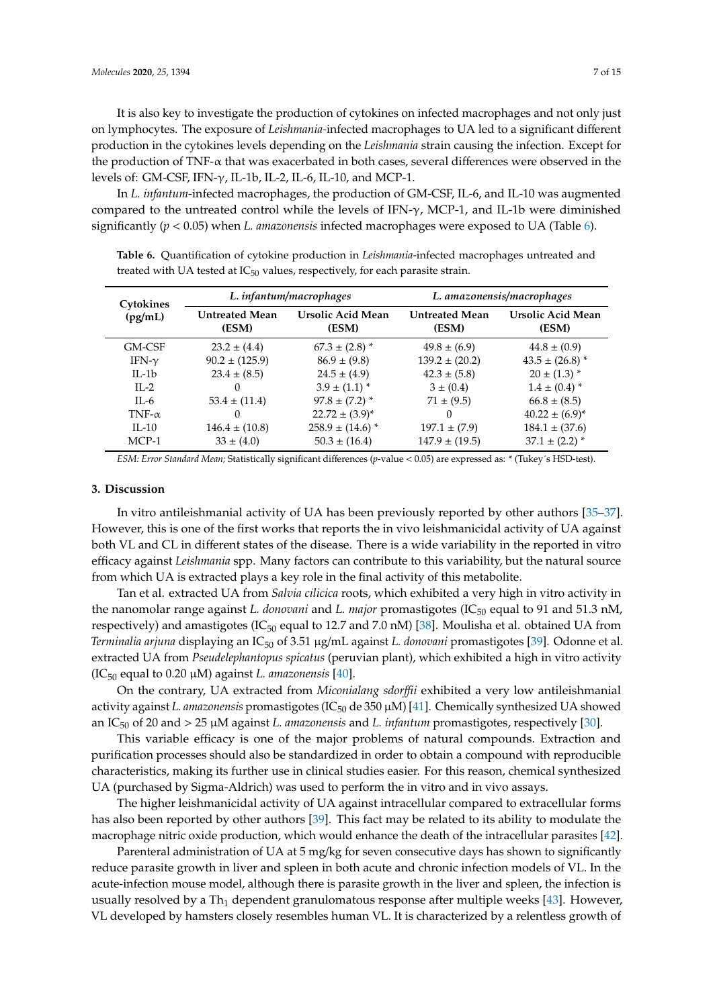It is also key to investigate the production of cytokines on infected macrophages and not only just on lymphocytes. The exposure of *Leishmania-*infected macrophages to UA led to a significant different production in the cytokines levels depending on the *Leishmania* strain causing the infection. Except for the production of TNF- $\alpha$  that was exacerbated in both cases, several differences were observed in the levels of: GM-CSF, IFN-γ, IL-1b, IL-2, IL-6, IL-10, and MCP-1.

In *L. infantum*-infected macrophages, the production of GM-CSF, IL-6, and IL-10 was augmented compared to the untreated control while the levels of IFN- $\gamma$ , MCP-1, and IL-1b were diminished significantly (*p* < 0.05) when *L. amazonensis* infected macrophages were exposed to UA (Table [6\)](#page-6-0).

| Cytokines     |                                | L. infantum/macrophages    | L. amazonensis/macrophages     |                                   |  |
|---------------|--------------------------------|----------------------------|--------------------------------|-----------------------------------|--|
| (pg/mL)       | <b>Untreated Mean</b><br>(ESM) | Ursolic Acid Mean<br>(ESM) | <b>Untreated Mean</b><br>(ESM) | <b>Ursolic Acid Mean</b><br>(ESM) |  |
| GM-CSF        | $23.2 \pm (4.4)$               | $67.3 \pm (2.8)^*$         | $49.8 \pm (6.9)$               | $44.8 \pm (0.9)$                  |  |
| IFN- $\gamma$ | $90.2 \pm (125.9)$             | $86.9 \pm (9.8)$           | $139.2 \pm (20.2)$             | $43.5 \pm (26.8)^*$               |  |
| $II - 1b$     | $23.4 \pm (8.5)$               | $24.5 \pm (4.9)$           | $42.3 \pm (5.8)$               | $20 \pm (1.3)^*$                  |  |
| $II - 2$      | 0                              | $3.9 \pm (1.1)^*$          | $3 \pm (0.4)$                  | $1.4 \pm (0.4)^*$                 |  |
| $\Pi - 6$     | $53.4 \pm (11.4)$              | $97.8 \pm (7.2)^*$         | $71 \pm (9.5)$                 | $66.8 \pm (8.5)$                  |  |
| TNF- $\alpha$ | $\Omega$                       | $22.72 \pm (3.9)^*$        | $\Omega$                       | $40.22 \pm (6.9)^*$               |  |
| $II - 10$     | $146.4 \pm (10.8)$             | $258.9 \pm (14.6)^*$       | $197.1 \pm (7.9)$              | $184.1 \pm (37.6)$                |  |
| $MCP-1$       | $33 \pm (4.0)$                 | $50.3 \pm (16.4)$          | $147.9 \pm (19.5)$             | $37.1 \pm (2.2)^*$                |  |

<span id="page-6-0"></span>**Table 6.** Quantification of cytokine production in *Leishmania*-infected macrophages untreated and treated with UA tested at  $IC_{50}$  values, respectively, for each parasite strain.

*ESM: Error Standard Mean;* Statistically significant differences (*p*-value < 0.05) are expressed as: \* (Tukey´s HSD-test).

#### **3. Discussion**

In vitro antileishmanial activity of UA has been previously reported by other authors [\[35–](#page-13-10)[37\]](#page-13-12). However, this is one of the first works that reports the in vivo leishmanicidal activity of UA against both VL and CL in different states of the disease. There is a wide variability in the reported in vitro efficacy against *Leishmania* spp. Many factors can contribute to this variability, but the natural source from which UA is extracted plays a key role in the final activity of this metabolite.

Tan et al. extracted UA from *Salvia cilicica* roots, which exhibited a very high in vitro activity in the nanomolar range against *L. donovani* and *L. major* promastigotes (IC<sub>50</sub> equal to 91 and 51.3 nM, respectively) and amastigotes (IC $_{50}$  equal to 12.7 and 7.0 nM) [\[38\]](#page-13-13). Moulisha et al. obtained UA from *Terminalia arjuna* displaying an IC<sub>50</sub> of 3.51 μg/mL against *L. donovani* promastigotes [\[39\]](#page-13-14). Odonne et al. extracted UA from *Pseudelephantopus spicatus* (peruvian plant), which exhibited a high in vitro activity (IC<sub>50</sub> equal to 0.20  $\mu$ M) against *L. amazonensis* [\[40\]](#page-13-15).

On the contrary, UA extracted from *Miconialang sdor*ffi*i* exhibited a very low antileishmanial activity against *L. amazonensis* promastigotes (IC<sub>50</sub> de 350 µM) [\[41\]](#page-13-16). Chemically synthesized UA showed an IC<sup>50</sup> of 20 and > 25 µM against *L. amazonensis* and *L. infantum* promastigotes, respectively [\[30\]](#page-13-5).

This variable efficacy is one of the major problems of natural compounds. Extraction and purification processes should also be standardized in order to obtain a compound with reproducible characteristics, making its further use in clinical studies easier. For this reason, chemical synthesized UA (purchased by Sigma-Aldrich) was used to perform the in vitro and in vivo assays.

The higher leishmanicidal activity of UA against intracellular compared to extracellular forms has also been reported by other authors [\[39\]](#page-13-14). This fact may be related to its ability to modulate the macrophage nitric oxide production, which would enhance the death of the intracellular parasites [\[42\]](#page-13-17).

Parenteral administration of UA at 5 mg/kg for seven consecutive days has shown to significantly reduce parasite growth in liver and spleen in both acute and chronic infection models of VL. In the acute-infection mouse model, although there is parasite growth in the liver and spleen, the infection is usually resolved by a Th<sub>1</sub> dependent granulomatous response after multiple weeks [\[43\]](#page-14-0). However, VL developed by hamsters closely resembles human VL. It is characterized by a relentless growth of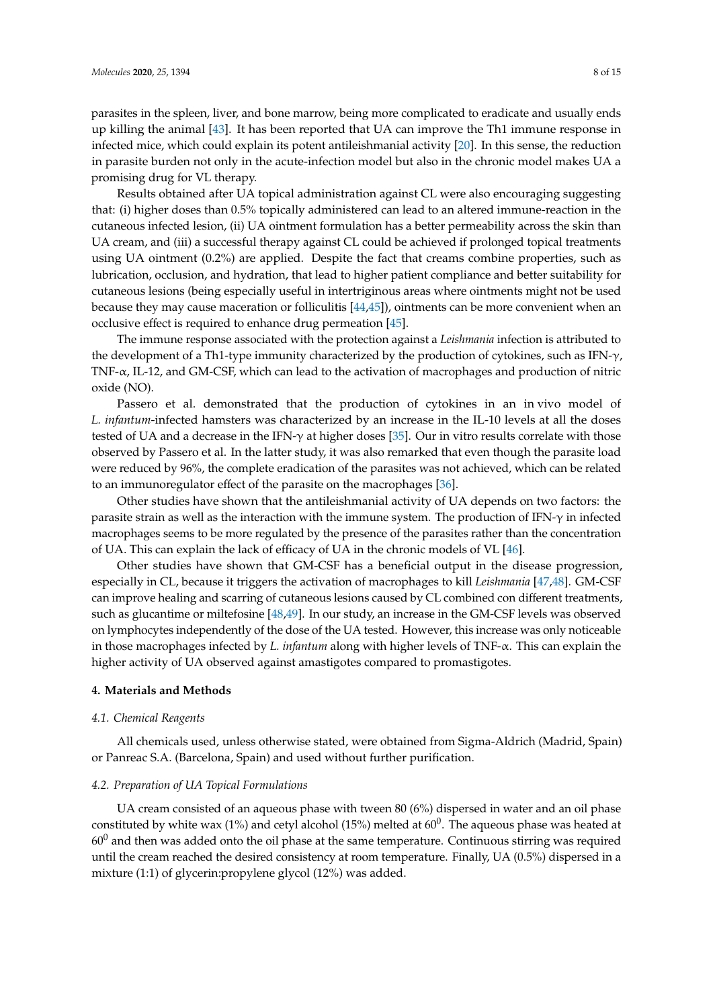parasites in the spleen, liver, and bone marrow, being more complicated to eradicate and usually ends up killing the animal [\[43\]](#page-14-0). It has been reported that UA can improve the Th1 immune response in infected mice, which could explain its potent antileishmanial activity [\[20\]](#page-12-18). In this sense, the reduction in parasite burden not only in the acute-infection model but also in the chronic model makes UA a promising drug for VL therapy.

Results obtained after UA topical administration against CL were also encouraging suggesting that: (i) higher doses than 0.5% topically administered can lead to an altered immune-reaction in the cutaneous infected lesion, (ii) UA ointment formulation has a better permeability across the skin than UA cream, and (iii) a successful therapy against CL could be achieved if prolonged topical treatments using UA ointment (0.2%) are applied. Despite the fact that creams combine properties, such as lubrication, occlusion, and hydration, that lead to higher patient compliance and better suitability for cutaneous lesions (being especially useful in intertriginous areas where ointments might not be used because they may cause maceration or folliculitis [\[44](#page-14-1)[,45\]](#page-14-2)), ointments can be more convenient when an occlusive effect is required to enhance drug permeation [\[45\]](#page-14-2).

The immune response associated with the protection against a *Leishmania* infection is attributed to the development of a Th1-type immunity characterized by the production of cytokines, such as IFN- $\gamma$ , TNF-α, IL-12, and GM-CSF, which can lead to the activation of macrophages and production of nitric oxide (NO).

Passero et al. demonstrated that the production of cytokines in an in vivo model of *L. infantum*-infected hamsters was characterized by an increase in the IL-10 levels at all the doses tested of UA and a decrease in the IFN- $\gamma$  at higher doses [\[35\]](#page-13-10). Our in vitro results correlate with those observed by Passero et al. In the latter study, it was also remarked that even though the parasite load were reduced by 96%, the complete eradication of the parasites was not achieved, which can be related to an immunoregulator effect of the parasite on the macrophages [\[36\]](#page-13-11).

Other studies have shown that the antileishmanial activity of UA depends on two factors: the parasite strain as well as the interaction with the immune system. The production of IFN- $\gamma$  in infected macrophages seems to be more regulated by the presence of the parasites rather than the concentration of UA. This can explain the lack of efficacy of UA in the chronic models of VL [\[46\]](#page-14-3).

Other studies have shown that GM-CSF has a beneficial output in the disease progression, especially in CL, because it triggers the activation of macrophages to kill *Leishmania* [\[47](#page-14-4)[,48\]](#page-14-5). GM-CSF can improve healing and scarring of cutaneous lesions caused by CL combined con different treatments, such as glucantime or miltefosine [\[48,](#page-14-5)[49\]](#page-14-6). In our study, an increase in the GM-CSF levels was observed on lymphocytes independently of the dose of the UA tested. However, this increase was only noticeable in those macrophages infected by *L. infantum* along with higher levels of TNF-α. This can explain the higher activity of UA observed against amastigotes compared to promastigotes.

#### **4. Materials and Methods**

#### *4.1. Chemical Reagents*

All chemicals used, unless otherwise stated, were obtained from Sigma-Aldrich (Madrid, Spain) or Panreac S.A. (Barcelona, Spain) and used without further purification.

#### *4.2. Preparation of UA Topical Formulations*

UA cream consisted of an aqueous phase with tween 80 (6%) dispersed in water and an oil phase constituted by white wax (1%) and cetyl alcohol (15%) melted at 60<sup>0</sup>. The aqueous phase was heated at  $60<sup>0</sup>$  and then was added onto the oil phase at the same temperature. Continuous stirring was required until the cream reached the desired consistency at room temperature. Finally, UA (0.5%) dispersed in a mixture (1:1) of glycerin:propylene glycol (12%) was added.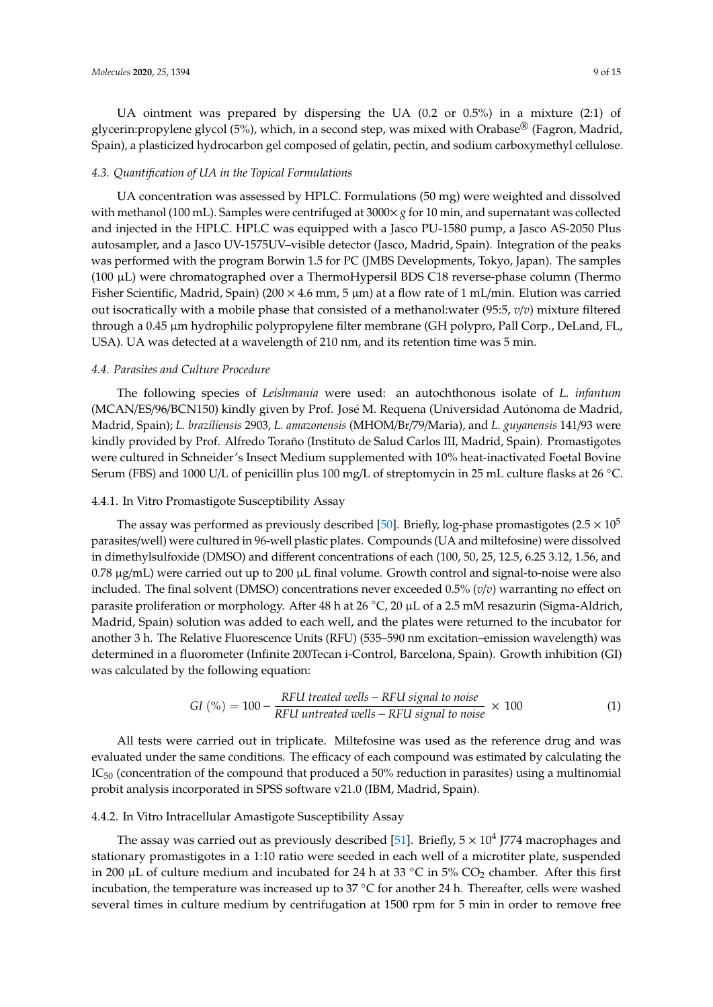UA ointment was prepared by dispersing the UA (0.2 or 0.5%) in a mixture (2:1) of glycerin:propylene glycol (5%), which, in a second step, was mixed with Orabase® (Fagron, Madrid, Spain), a plasticized hydrocarbon gel composed of gelatin, pectin, and sodium carboxymethyl cellulose.

#### *4.3. Quantification of UA in the Topical Formulations*

UA concentration was assessed by HPLC. Formulations (50 mg) were weighted and dissolved with methanol (100 mL). Samples were centrifuged at 3000× *g* for 10 min, and supernatant was collected and injected in the HPLC. HPLC was equipped with a Jasco PU-1580 pump, a Jasco AS-2050 Plus autosampler, and a Jasco UV-1575UV–visible detector (Jasco, Madrid, Spain). Integration of the peaks was performed with the program Borwin 1.5 for PC (JMBS Developments, Tokyo, Japan). The samples (100 µL) were chromatographed over a ThermoHypersil BDS C18 reverse-phase column (Thermo Fisher Scientific, Madrid, Spain) (200 × 4.6 mm, 5 µm) at a flow rate of 1 mL/min. Elution was carried out isocratically with a mobile phase that consisted of a methanol:water (95:5, *v*/*v*) mixture filtered through a 0.45 µm hydrophilic polypropylene filter membrane (GH polypro, Pall Corp., DeLand, FL, USA). UA was detected at a wavelength of 210 nm, and its retention time was 5 min.

#### *4.4. Parasites and Culture Procedure*

The following species of *Leishmania* were used: an autochthonous isolate of *L. infantum* (MCAN/ES/96/BCN150) kindly given by Prof. José M. Requena (Universidad Autónoma de Madrid, Madrid, Spain); *L. braziliensis* 2903, *L. amazonensis* (MHOM/Br/79/Maria), and *L. guyanensis* 141/93 were kindly provided by Prof. Alfredo Toraño (Instituto de Salud Carlos III, Madrid, Spain). Promastigotes were cultured in Schneider's Insect Medium supplemented with 10% heat-inactivated Foetal Bovine Serum (FBS) and 1000 U/L of penicillin plus 100 mg/L of streptomycin in 25 mL culture flasks at 26 ◦C.

#### 4.4.1. In Vitro Promastigote Susceptibility Assay

The assay was performed as previously described [\[50\]](#page-14-7). Briefly, log-phase promastigotes (2.5  $\times$  10<sup>5</sup> parasites/well) were cultured in 96-well plastic plates. Compounds (UA and miltefosine) were dissolved in dimethylsulfoxide (DMSO) and different concentrations of each (100, 50, 25, 12.5, 6.25 3.12, 1.56, and  $0.78 \mu g/mL$ ) were carried out up to 200  $\mu$ L final volume. Growth control and signal-to-noise were also included. The final solvent (DMSO) concentrations never exceeded 0.5% (*v*/*v*) warranting no effect on parasite proliferation or morphology. After 48 h at 26 ◦C, 20 µL of a 2.5 mM resazurin (Sigma-Aldrich, Madrid, Spain) solution was added to each well, and the plates were returned to the incubator for another 3 h. The Relative Fluorescence Units (RFU) (535–590 nm excitation–emission wavelength) was determined in a fluorometer (Infinite 200Tecan i-Control, Barcelona, Spain). Growth inhibition (GI) was calculated by the following equation:

$$
GI (\%) = 100 - \frac{RFU \text{ treated wells} - RFU \text{ signal to noise}}{RFU \text{ untreated wells} - RFU \text{ signal to noise}} \times 100
$$
 (1)

All tests were carried out in triplicate. Miltefosine was used as the reference drug and was evaluated under the same conditions. The efficacy of each compound was estimated by calculating the  $IC<sub>50</sub>$  (concentration of the compound that produced a 50% reduction in parasites) using a multinomial probit analysis incorporated in SPSS software v21.0 (IBM, Madrid, Spain).

#### 4.4.2. In Vitro Intracellular Amastigote Susceptibility Assay

The assay was carried out as previously described [\[51\]](#page-14-8). Briefly,  $5 \times 10^4$  J774 macrophages and stationary promastigotes in a 1:10 ratio were seeded in each well of a microtiter plate, suspended in 200  $\mu$ L of culture medium and incubated for 24 h at 33 °C in 5% CO<sub>2</sub> chamber. After this first incubation, the temperature was increased up to 37 ◦C for another 24 h. Thereafter, cells were washed several times in culture medium by centrifugation at 1500 rpm for 5 min in order to remove free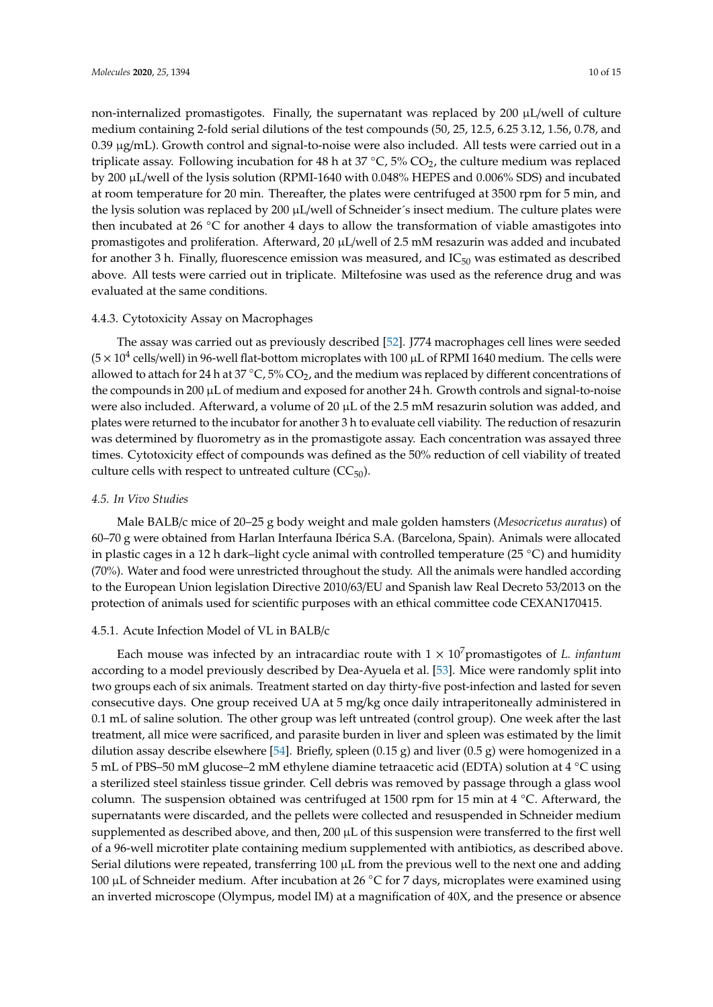non-internalized promastigotes. Finally, the supernatant was replaced by  $200 \mu L/well$  of culture medium containing 2-fold serial dilutions of the test compounds (50, 25, 12.5, 6.25 3.12, 1.56, 0.78, and 0.39 µg/mL). Growth control and signal-to-noise were also included. All tests were carried out in a triplicate assay. Following incubation for 48 h at  $37 °C$ ,  $5\% CO<sub>2</sub>$ , the culture medium was replaced by 200 µL/well of the lysis solution (RPMI-1640 with 0.048% HEPES and 0.006% SDS) and incubated at room temperature for 20 min. Thereafter, the plates were centrifuged at 3500 rpm for 5 min, and the lysis solution was replaced by 200  $\mu$ L/well of Schneider's insect medium. The culture plates were then incubated at 26  $°C$  for another 4 days to allow the transformation of viable amastigotes into promastigotes and proliferation. Afterward, 20 µL/well of 2.5 mM resazurin was added and incubated for another 3 h. Finally, fluorescence emission was measured, and  $IC_{50}$  was estimated as described above. All tests were carried out in triplicate. Miltefosine was used as the reference drug and was evaluated at the same conditions.

#### 4.4.3. Cytotoxicity Assay on Macrophages

The assay was carried out as previously described [\[52\]](#page-14-9). J774 macrophages cell lines were seeded ( $5 \times 10^4$  cells/well) in 96-well flat-bottom microplates with 100  $\mu$ L of RPMI 1640 medium. The cells were allowed to attach for 24 h at 37  $\degree$ C, 5% CO<sub>2</sub>, and the medium was replaced by different concentrations of the compounds in 200 µL of medium and exposed for another 24 h. Growth controls and signal-to-noise were also included. Afterward, a volume of 20 µL of the 2.5 mM resazurin solution was added, and plates were returned to the incubator for another 3 h to evaluate cell viability. The reduction of resazurin was determined by fluorometry as in the promastigote assay. Each concentration was assayed three times. Cytotoxicity effect of compounds was defined as the 50% reduction of cell viability of treated culture cells with respect to untreated culture  $(CC_{50})$ .

#### *4.5. In Vivo Studies*

Male BALB/c mice of 20–25 g body weight and male golden hamsters (*Mesocricetus auratus*) of 60–70 g were obtained from Harlan Interfauna Ibérica S.A. (Barcelona, Spain). Animals were allocated in plastic cages in a 12 h dark–light cycle animal with controlled temperature (25 ◦C) and humidity (70%). Water and food were unrestricted throughout the study. All the animals were handled according to the European Union legislation Directive 2010/63/EU and Spanish law Real Decreto 53/2013 on the protection of animals used for scientific purposes with an ethical committee code CEXAN170415.

#### 4.5.1. Acute Infection Model of VL in BALB/c

Each mouse was infected by an intracardiac route with  $1 \times 10^7$  promastigotes of *L. infantum* according to a model previously described by Dea-Ayuela et al. [\[53\]](#page-14-10). Mice were randomly split into two groups each of six animals. Treatment started on day thirty-five post-infection and lasted for seven consecutive days. One group received UA at 5 mg/kg once daily intraperitoneally administered in 0.1 mL of saline solution. The other group was left untreated (control group). One week after the last treatment, all mice were sacrificed, and parasite burden in liver and spleen was estimated by the limit dilution assay describe elsewhere [\[54\]](#page-14-11). Briefly, spleen  $(0.15 \text{ g})$  and liver  $(0.5 \text{ g})$  were homogenized in a 5 mL of PBS–50 mM glucose–2 mM ethylene diamine tetraacetic acid (EDTA) solution at 4 ◦C using a sterilized steel stainless tissue grinder. Cell debris was removed by passage through a glass wool column. The suspension obtained was centrifuged at 1500 rpm for 15 min at 4 ◦C. Afterward, the supernatants were discarded, and the pellets were collected and resuspended in Schneider medium supplemented as described above, and then,  $200 \mu L$  of this suspension were transferred to the first well of a 96-well microtiter plate containing medium supplemented with antibiotics, as described above. Serial dilutions were repeated, transferring  $100 \mu L$  from the previous well to the next one and adding 100 µL of Schneider medium. After incubation at 26 °C for 7 days, microplates were examined using an inverted microscope (Olympus, model IM) at a magnification of 40X, and the presence or absence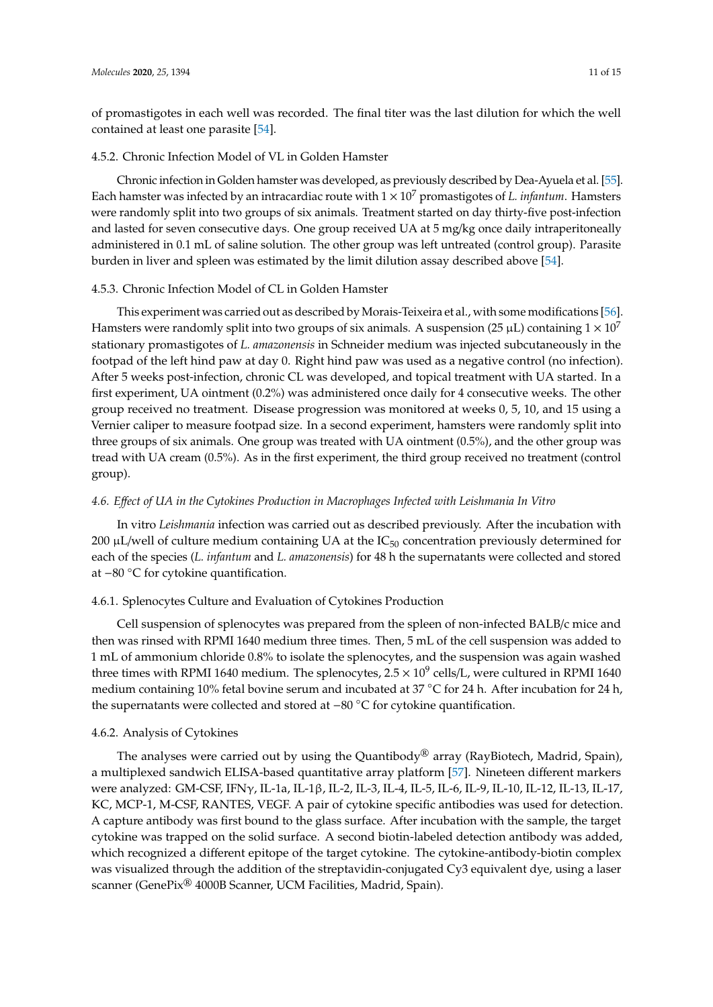of promastigotes in each well was recorded. The final titer was the last dilution for which the well contained at least one parasite [\[54\]](#page-14-11).

#### 4.5.2. Chronic Infection Model of VL in Golden Hamster

Chronic infection in Golden hamster was developed, as previously described by Dea-Ayuela et al. [\[55\]](#page-14-12). Each hamster was infected by an intracardiac route with  $1 \times 10^7$  promastigotes of *L. infantum*. Hamsters were randomly split into two groups of six animals. Treatment started on day thirty-five post-infection and lasted for seven consecutive days. One group received UA at 5 mg/kg once daily intraperitoneally administered in 0.1 mL of saline solution. The other group was left untreated (control group). Parasite burden in liver and spleen was estimated by the limit dilution assay described above [\[54\]](#page-14-11).

#### 4.5.3. Chronic Infection Model of CL in Golden Hamster

This experiment was carried out as described by Morais-Teixeira et al., with some modifications [\[56\]](#page-14-13). Hamsters were randomly split into two groups of six animals. A suspension (25  $\mu$ L) containing  $1 \times 10^7$ stationary promastigotes of *L. amazonensis* in Schneider medium was injected subcutaneously in the footpad of the left hind paw at day 0. Right hind paw was used as a negative control (no infection). After 5 weeks post-infection, chronic CL was developed, and topical treatment with UA started. In a first experiment, UA ointment (0.2%) was administered once daily for 4 consecutive weeks. The other group received no treatment. Disease progression was monitored at weeks 0, 5, 10, and 15 using a Vernier caliper to measure footpad size. In a second experiment, hamsters were randomly split into three groups of six animals. One group was treated with UA ointment (0.5%), and the other group was tread with UA cream (0.5%). As in the first experiment, the third group received no treatment (control group).

#### *4.6. E*ff*ect of UA in the Cytokines Production in Macrophages Infected with Leishmania In Vitro*

In vitro *Leishmania* infection was carried out as described previously. After the incubation with 200  $\mu$ L/well of culture medium containing UA at the IC<sub>50</sub> concentration previously determined for each of the species (*L. infantum* and *L. amazonensis*) for 48 h the supernatants were collected and stored at −80 ◦C for cytokine quantification.

#### 4.6.1. Splenocytes Culture and Evaluation of Cytokines Production

Cell suspension of splenocytes was prepared from the spleen of non-infected BALB/c mice and then was rinsed with RPMI 1640 medium three times. Then, 5 mL of the cell suspension was added to 1 mL of ammonium chloride 0.8% to isolate the splenocytes, and the suspension was again washed three times with RPMI 1640 medium. The splenocytes, 2.5  $\times$  10<sup>9</sup> cells/L, were cultured in RPMI 1640 medium containing 10% fetal bovine serum and incubated at 37 °C for 24 h. After incubation for 24 h, the supernatants were collected and stored at −80 ◦C for cytokine quantification.

#### 4.6.2. Analysis of Cytokines

The analyses were carried out by using the Quantibody<sup>®</sup> array (RayBiotech, Madrid, Spain), a multiplexed sandwich ELISA-based quantitative array platform [\[57\]](#page-14-14). Nineteen different markers were analyzed: GM-CSF, IFNγ, IL-1a, IL-1β, IL-2, IL-3, IL-4, IL-5, IL-6, IL-9, IL-10, IL-12, IL-13, IL-17, KC, MCP-1, M-CSF, RANTES, VEGF. A pair of cytokine specific antibodies was used for detection. A capture antibody was first bound to the glass surface. After incubation with the sample, the target cytokine was trapped on the solid surface. A second biotin-labeled detection antibody was added, which recognized a different epitope of the target cytokine. The cytokine-antibody-biotin complex was visualized through the addition of the streptavidin-conjugated Cy3 equivalent dye, using a laser scanner (GenePix® 4000B Scanner, UCM Facilities, Madrid, Spain).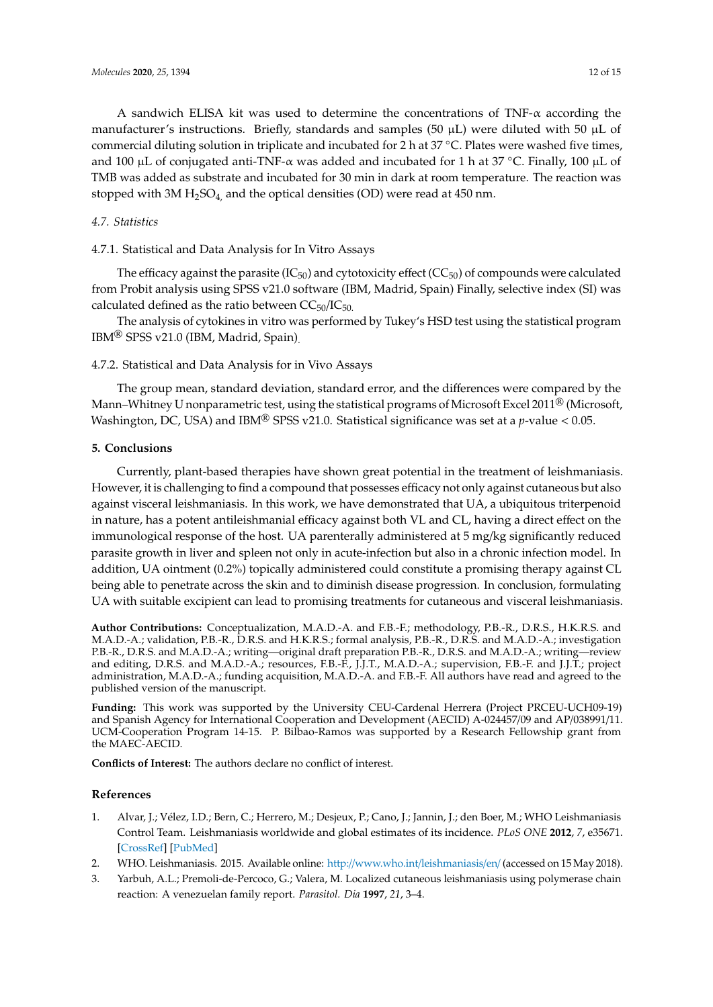A sandwich ELISA kit was used to determine the concentrations of TNF- $\alpha$  according the manufacturer's instructions. Briefly, standards and samples (50  $\mu$ L) were diluted with 50  $\mu$ L of commercial diluting solution in triplicate and incubated for 2 h at 37 ◦C. Plates were washed five times, and 100 µL of conjugated anti-TNF- $\alpha$  was added and incubated for 1 h at 37 °C. Finally, 100 µL of TMB was added as substrate and incubated for 30 min in dark at room temperature. The reaction was stopped with 3M  $H_2SO_4$ , and the optical densities (OD) were read at 450 nm.

#### *4.7. Statistics*

4.7.1. Statistical and Data Analysis for In Vitro Assays

The efficacy against the parasite ( $IC_{50}$ ) and cytotoxicity effect ( $CC_{50}$ ) of compounds were calculated from Probit analysis using SPSS v21.0 software (IBM, Madrid, Spain) Finally, selective index (SI) was calculated defined as the ratio between  $CC_{50}/IC_{50}$ .

The analysis of cytokines in vitro was performed by Tukey's HSD test using the statistical program IBM® SPSS v21.0 (IBM, Madrid, Spain).

#### 4.7.2. Statistical and Data Analysis for in Vivo Assays

The group mean, standard deviation, standard error, and the differences were compared by the Mann–Whitney U nonparametric test, using the statistical programs of Microsoft Excel 2011<sup>®</sup> (Microsoft, Washington, DC, USA) and IBM® SPSS v21.0. Statistical significance was set at a *p*-value < 0.05.

#### **5. Conclusions**

Currently, plant-based therapies have shown great potential in the treatment of leishmaniasis. However, it is challenging to find a compound that possesses efficacy not only against cutaneous but also against visceral leishmaniasis. In this work, we have demonstrated that UA, a ubiquitous triterpenoid in nature, has a potent antileishmanial efficacy against both VL and CL, having a direct effect on the immunological response of the host. UA parenterally administered at 5 mg/kg significantly reduced parasite growth in liver and spleen not only in acute-infection but also in a chronic infection model. In addition, UA ointment (0.2%) topically administered could constitute a promising therapy against CL being able to penetrate across the skin and to diminish disease progression. In conclusion, formulating UA with suitable excipient can lead to promising treatments for cutaneous and visceral leishmaniasis.

**Author Contributions:** Conceptualization, M.A.D.-A. and F.B.-F.; methodology, P.B.-R., D.R.S., H.K.R.S. and M.A.D.-A.; validation, P.B.-R., D.R.S. and H.K.R.S.; formal analysis, P.B.-R., D.R.S. and M.A.D.-A.; investigation P.B.-R., D.R.S. and M.A.D.-A.; writing—original draft preparation P.B.-R., D.R.S. and M.A.D.-A.; writing—review and editing, D.R.S. and M.A.D.-A.; resources, F.B.-F., J.J.T., M.A.D.-A.; supervision, F.B.-F. and J.J.T.; project administration, M.A.D.-A.; funding acquisition, M.A.D.-A. and F.B.-F. All authors have read and agreed to the published version of the manuscript.

**Funding:** This work was supported by the University CEU-Cardenal Herrera (Project PRCEU-UCH09-19) and Spanish Agency for International Cooperation and Development (AECID) A-024457/09 and AP/038991/11. UCM-Cooperation Program 14-15. P. Bilbao-Ramos was supported by a Research Fellowship grant from the MAEC-AECID.

**Conflicts of Interest:** The authors declare no conflict of interest.

#### **References**

- <span id="page-11-0"></span>1. Alvar, J.; Vélez, I.D.; Bern, C.; Herrero, M.; Desjeux, P.; Cano, J.; Jannin, J.; den Boer, M.; WHO Leishmaniasis Control Team. Leishmaniasis worldwide and global estimates of its incidence. *PLoS ONE* **2012**, *7*, e35671. [\[CrossRef\]](http://dx.doi.org/10.1371/journal.pone.0035671) [\[PubMed\]](http://www.ncbi.nlm.nih.gov/pubmed/22693548)
- <span id="page-11-1"></span>2. WHO. Leishmaniasis. 2015. Available online: http://[www.who.int](http://www.who.int/leishmaniasis/en/)/leishmaniasis/en/ (accessed on 15 May 2018).
- <span id="page-11-2"></span>3. Yarbuh, A.L.; Premoli-de-Percoco, G.; Valera, M. Localized cutaneous leishmaniasis using polymerase chain reaction: A venezuelan family report. *Parasitol. Dia* **1997**, *21*, 3–4.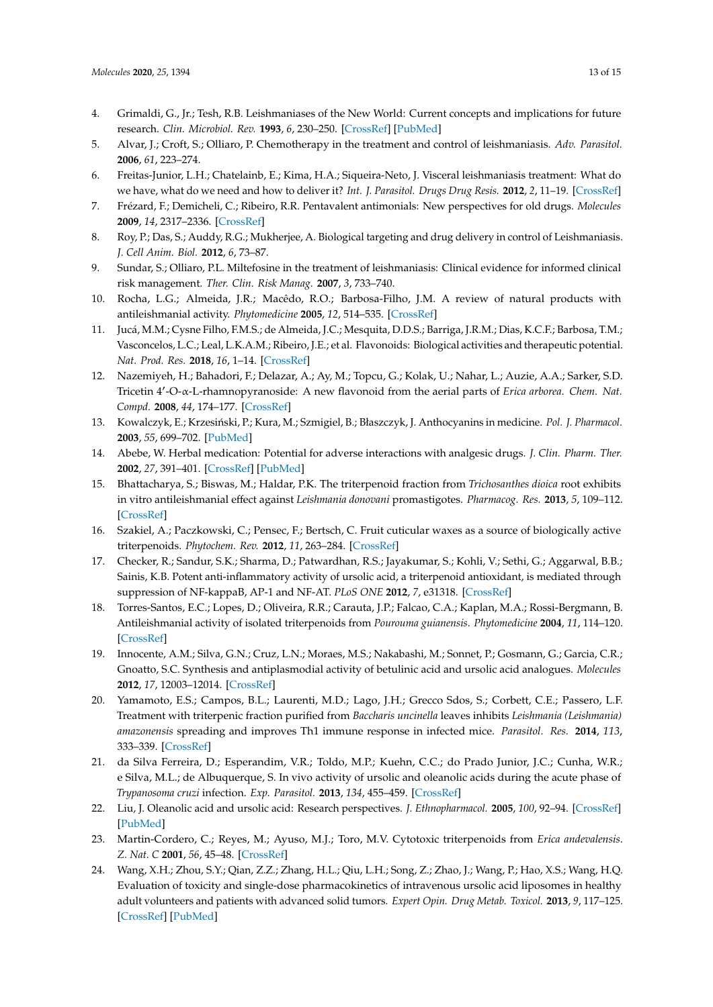- <span id="page-12-0"></span>4. Grimaldi, G., Jr.; Tesh, R.B. Leishmaniases of the New World: Current concepts and implications for future research. *Clin. Microbiol. Rev.* **1993**, *6*, 230–250. [\[CrossRef\]](http://dx.doi.org/10.1128/CMR.6.3.230) [\[PubMed\]](http://www.ncbi.nlm.nih.gov/pubmed/8358705)
- <span id="page-12-1"></span>5. Alvar, J.; Croft, S.; Olliaro, P. Chemotherapy in the treatment and control of leishmaniasis. *Adv. Parasitol.* **2006**, *61*, 223–274.
- <span id="page-12-2"></span>6. Freitas-Junior, L.H.; Chatelainb, E.; Kima, H.A.; Siqueira-Neto, J. Visceral leishmaniasis treatment: What do we have, what do we need and how to deliver it? *Int. J. Parasitol. Drugs Drug Resis.* **2012**, *2*, 11–19. [\[CrossRef\]](http://dx.doi.org/10.1016/j.ijpddr.2012.01.003)
- <span id="page-12-3"></span>7. Frézard, F.; Demicheli, C.; Ribeiro, R.R. Pentavalent antimonials: New perspectives for old drugs. *Molecules* **2009**, *14*, 2317–2336. [\[CrossRef\]](http://dx.doi.org/10.3390/molecules14072317)
- <span id="page-12-4"></span>8. Roy, P.; Das, S.; Auddy, R.G.; Mukherjee, A. Biological targeting and drug delivery in control of Leishmaniasis. *J. Cell Anim. Biol.* **2012**, *6*, 73–87.
- <span id="page-12-5"></span>9. Sundar, S.; Olliaro, P.L. Miltefosine in the treatment of leishmaniasis: Clinical evidence for informed clinical risk management. *Ther. Clin. Risk Manag.* **2007**, *3*, 733–740.
- <span id="page-12-6"></span>10. Rocha, L.G.; Almeida, J.R.; Macêdo, R.O.; Barbosa-Filho, J.M. A review of natural products with antileishmanial activity. *Phytomedicine* **2005**, *12*, 514–535. [\[CrossRef\]](http://dx.doi.org/10.1016/j.phymed.2003.10.006)
- <span id="page-12-7"></span>11. Jucá, M.M.; Cysne Filho, F.M.S.; de Almeida, J.C.; Mesquita, D.D.S.; Barriga, J.R.M.; Dias, K.C.F.; Barbosa, T.M.; Vasconcelos, L.C.; Leal, L.K.A.M.; Ribeiro, J.E.; et al. Flavonoids: Biological activities and therapeutic potential. *Nat. Prod. Res.* **2018**, *16*, 1–14. [\[CrossRef\]](http://dx.doi.org/10.1080/14786419.2018.1493588)
- <span id="page-12-8"></span>12. Nazemiyeh, H.; Bahadori, F.; Delazar, A.; Ay, M.; Topcu, G.; Kolak, U.; Nahar, L.; Auzie, A.A.; Sarker, S.D. Tricetin 4<sup>0</sup> -O-α-L-rhamnopyranoside: A new flavonoid from the aerial parts of *Erica arborea*. *Chem. Nat. Compd.* **2008**, *44*, 174–177. [\[CrossRef\]](http://dx.doi.org/10.1007/s10600-008-9007-1)
- <span id="page-12-9"></span>13. Kowalczyk, E.; Krzesiński, P.; Kura, M.; Szmigiel, B.; Błaszczyk, J. Anthocyanins in medicine. *Pol. J. Pharmacol.* **2003**, *55*, 699–702. [\[PubMed\]](http://www.ncbi.nlm.nih.gov/pubmed/14704465)
- <span id="page-12-10"></span>14. Abebe, W. Herbal medication: Potential for adverse interactions with analgesic drugs. *J. Clin. Pharm. Ther.* **2002**, *27*, 391–401. [\[CrossRef\]](http://dx.doi.org/10.1046/j.1365-2710.2002.00444.x) [\[PubMed\]](http://www.ncbi.nlm.nih.gov/pubmed/12472978)
- <span id="page-12-11"></span>15. Bhattacharya, S.; Biswas, M.; Haldar, P.K. The triterpenoid fraction from *Trichosanthes dioica* root exhibits in vitro antileishmanial effect against *Leishmania donovani* promastigotes. *Pharmacog. Res.* **2013**, *5*, 109–112. [\[CrossRef\]](http://dx.doi.org/10.4103/0974-8490.110540)
- <span id="page-12-12"></span>16. Szakiel, A.; Paczkowski, C.; Pensec, F.; Bertsch, C. Fruit cuticular waxes as a source of biologically active triterpenoids. *Phytochem. Rev.* **2012**, *11*, 263–284. [\[CrossRef\]](http://dx.doi.org/10.1007/s11101-012-9241-9)
- 17. Checker, R.; Sandur, S.K.; Sharma, D.; Patwardhan, R.S.; Jayakumar, S.; Kohli, V.; Sethi, G.; Aggarwal, B.B.; Sainis, K.B. Potent anti-inflammatory activity of ursolic acid, a triterpenoid antioxidant, is mediated through suppression of NF-kappaB, AP-1 and NF-AT. *PLoS ONE* **2012**, *7*, e31318. [\[CrossRef\]](http://dx.doi.org/10.1371/journal.pone.0031318)
- <span id="page-12-17"></span>18. Torres-Santos, E.C.; Lopes, D.; Oliveira, R.R.; Carauta, J.P.; Falcao, C.A.; Kaplan, M.A.; Rossi-Bergmann, B. Antileishmanial activity of isolated triterpenoids from *Pourouma guianensis*. *Phytomedicine* **2004**, *11*, 114–120. [\[CrossRef\]](http://dx.doi.org/10.1078/0944-7113-00381)
- 19. Innocente, A.M.; Silva, G.N.; Cruz, L.N.; Moraes, M.S.; Nakabashi, M.; Sonnet, P.; Gosmann, G.; Garcia, C.R.; Gnoatto, S.C. Synthesis and antiplasmodial activity of betulinic acid and ursolic acid analogues. *Molecules* **2012**, *17*, 12003–12014. [\[CrossRef\]](http://dx.doi.org/10.3390/molecules171012003)
- <span id="page-12-18"></span>20. Yamamoto, E.S.; Campos, B.L.; Laurenti, M.D.; Lago, J.H.; Grecco Sdos, S.; Corbett, C.E.; Passero, L.F. Treatment with triterpenic fraction purified from *Baccharis uncinella* leaves inhibits *Leishmania (Leishmania) amazonensis* spreading and improves Th1 immune response in infected mice. *Parasitol. Res.* **2014**, *113*, 333–339. [\[CrossRef\]](http://dx.doi.org/10.1007/s00436-013-3659-x)
- <span id="page-12-13"></span>21. da Silva Ferreira, D.; Esperandim, V.R.; Toldo, M.P.; Kuehn, C.C.; do Prado Junior, J.C.; Cunha, W.R.; e Silva, M.L.; de Albuquerque, S. In vivo activity of ursolic and oleanolic acids during the acute phase of *Trypanosoma cruzi* infection. *Exp. Parasitol.* **2013**, *134*, 455–459. [\[CrossRef\]](http://dx.doi.org/10.1016/j.exppara.2013.04.005)
- <span id="page-12-14"></span>22. Liu, J. Oleanolic acid and ursolic acid: Research perspectives. *J. Ethnopharmacol.* **2005**, *100*, 92–94. [\[CrossRef\]](http://dx.doi.org/10.1016/j.jep.2005.05.024) [\[PubMed\]](http://www.ncbi.nlm.nih.gov/pubmed/15994040)
- <span id="page-12-15"></span>23. Martin-Cordero, C.; Reyes, M.; Ayuso, M.J.; Toro, M.V. Cytotoxic triterpenoids from *Erica andevalensis*. *Z. Nat. C* **2001**, *56*, 45–48. [\[CrossRef\]](http://dx.doi.org/10.1515/znc-2001-1-208)
- <span id="page-12-16"></span>24. Wang, X.H.; Zhou, S.Y.; Qian, Z.Z.; Zhang, H.L.; Qiu, L.H.; Song, Z.; Zhao, J.; Wang, P.; Hao, X.S.; Wang, H.Q. Evaluation of toxicity and single-dose pharmacokinetics of intravenous ursolic acid liposomes in healthy adult volunteers and patients with advanced solid tumors. *Expert Opin. Drug Metab. Toxicol.* **2013**, *9*, 117–125. [\[CrossRef\]](http://dx.doi.org/10.1517/17425255.2013.738667) [\[PubMed\]](http://www.ncbi.nlm.nih.gov/pubmed/23134084)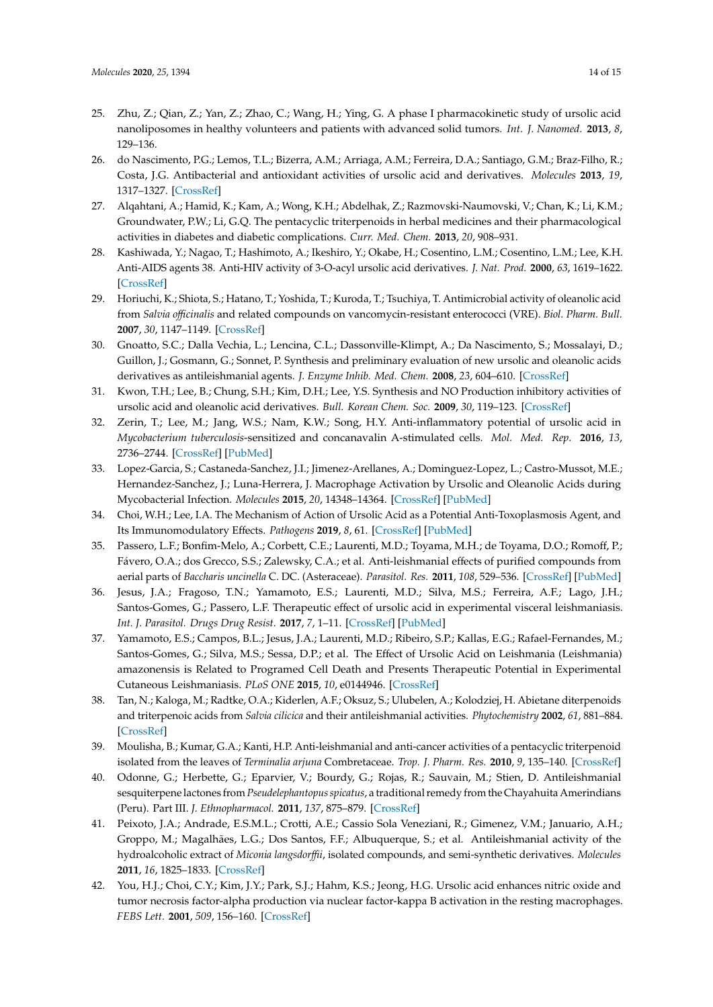- <span id="page-13-0"></span>25. Zhu, Z.; Qian, Z.; Yan, Z.; Zhao, C.; Wang, H.; Ying, G. A phase I pharmacokinetic study of ursolic acid nanoliposomes in healthy volunteers and patients with advanced solid tumors. *Int. J. Nanomed.* **2013**, *8*, 129–136.
- <span id="page-13-1"></span>26. do Nascimento, P.G.; Lemos, T.L.; Bizerra, A.M.; Arriaga, A.M.; Ferreira, D.A.; Santiago, G.M.; Braz-Filho, R.; Costa, J.G. Antibacterial and antioxidant activities of ursolic acid and derivatives. *Molecules* **2013**, *19*, 1317–1327. [\[CrossRef\]](http://dx.doi.org/10.3390/molecules19011317)
- <span id="page-13-2"></span>27. Alqahtani, A.; Hamid, K.; Kam, A.; Wong, K.H.; Abdelhak, Z.; Razmovski-Naumovski, V.; Chan, K.; Li, K.M.; Groundwater, P.W.; Li, G.Q. The pentacyclic triterpenoids in herbal medicines and their pharmacological activities in diabetes and diabetic complications. *Curr. Med. Chem.* **2013**, *20*, 908–931.
- <span id="page-13-3"></span>28. Kashiwada, Y.; Nagao, T.; Hashimoto, A.; Ikeshiro, Y.; Okabe, H.; Cosentino, L.M.; Cosentino, L.M.; Lee, K.H. Anti-AIDS agents 38. Anti-HIV activity of 3-O-acyl ursolic acid derivatives. *J. Nat. Prod.* **2000**, *63*, 1619–1622. [\[CrossRef\]](http://dx.doi.org/10.1021/np990633v)
- <span id="page-13-4"></span>29. Horiuchi, K.; Shiota, S.; Hatano, T.; Yoshida, T.; Kuroda, T.; Tsuchiya, T. Antimicrobial activity of oleanolic acid from *Salvia o*ffi*cinalis* and related compounds on vancomycin-resistant enterococci (VRE). *Biol. Pharm. Bull.* **2007**, *30*, 1147–1149. [\[CrossRef\]](http://dx.doi.org/10.1248/bpb.30.1147)
- <span id="page-13-5"></span>30. Gnoatto, S.C.; Dalla Vechia, L.; Lencina, C.L.; Dassonville-Klimpt, A.; Da Nascimento, S.; Mossalayi, D.; Guillon, J.; Gosmann, G.; Sonnet, P. Synthesis and preliminary evaluation of new ursolic and oleanolic acids derivatives as antileishmanial agents. *J. Enzyme Inhib. Med. Chem.* **2008**, *23*, 604–610. [\[CrossRef\]](http://dx.doi.org/10.1080/14756360802204870)
- <span id="page-13-6"></span>31. Kwon, T.H.; Lee, B.; Chung, S.H.; Kim, D.H.; Lee, Y.S. Synthesis and NO Production inhibitory activities of ursolic acid and oleanolic acid derivatives. *Bull. Korean Chem. Soc.* **2009**, *30*, 119–123. [\[CrossRef\]](http://dx.doi.org/10.1002/chin.200929179)
- <span id="page-13-7"></span>32. Zerin, T.; Lee, M.; Jang, W.S.; Nam, K.W.; Song, H.Y. Anti-inflammatory potential of ursolic acid in *Mycobacterium tuberculosis*-sensitized and concanavalin A-stimulated cells. *Mol. Med. Rep.* **2016**, *13*, 2736–2744. [\[CrossRef\]](http://dx.doi.org/10.3892/mmr.2016.4840) [\[PubMed\]](http://www.ncbi.nlm.nih.gov/pubmed/26847129)
- <span id="page-13-8"></span>33. Lopez-Garcia, S.; Castaneda-Sanchez, J.I.; Jimenez-Arellanes, A.; Dominguez-Lopez, L.; Castro-Mussot, M.E.; Hernandez-Sanchez, J.; Luna-Herrera, J. Macrophage Activation by Ursolic and Oleanolic Acids during Mycobacterial Infection. *Molecules* **2015**, *20*, 14348–14364. [\[CrossRef\]](http://dx.doi.org/10.3390/molecules200814348) [\[PubMed\]](http://www.ncbi.nlm.nih.gov/pubmed/26287131)
- <span id="page-13-9"></span>34. Choi, W.H.; Lee, I.A. The Mechanism of Action of Ursolic Acid as a Potential Anti-Toxoplasmosis Agent, and Its Immunomodulatory Effects. *Pathogens* **2019**, *8*, 61. [\[CrossRef\]](http://dx.doi.org/10.3390/pathogens8020061) [\[PubMed\]](http://www.ncbi.nlm.nih.gov/pubmed/31075881)
- <span id="page-13-10"></span>35. Passero, L.F.; Bonfim-Melo, A.; Corbett, C.E.; Laurenti, M.D.; Toyama, M.H.; de Toyama, D.O.; Romoff, P.; Fávero, O.A.; dos Grecco, S.S.; Zalewsky, C.A.; et al. Anti-leishmanial effects of purified compounds from aerial parts of *Baccharis uncinella* C. DC. (Asteraceae). *Parasitol. Res.* **2011**, *108*, 529–536. [\[CrossRef\]](http://dx.doi.org/10.1007/s00436-010-2091-8) [\[PubMed\]](http://www.ncbi.nlm.nih.gov/pubmed/20886232)
- <span id="page-13-11"></span>36. Jesus, J.A.; Fragoso, T.N.; Yamamoto, E.S.; Laurenti, M.D.; Silva, M.S.; Ferreira, A.F.; Lago, J.H.; Santos-Gomes, G.; Passero, L.F. Therapeutic effect of ursolic acid in experimental visceral leishmaniasis. *Int. J. Parasitol. Drugs Drug Resist.* **2017**, *7*, 1–11. [\[CrossRef\]](http://dx.doi.org/10.1016/j.ijpddr.2016.12.002) [\[PubMed\]](http://www.ncbi.nlm.nih.gov/pubmed/27984757)
- <span id="page-13-12"></span>37. Yamamoto, E.S.; Campos, B.L.; Jesus, J.A.; Laurenti, M.D.; Ribeiro, S.P.; Kallas, E.G.; Rafael-Fernandes, M.; Santos-Gomes, G.; Silva, M.S.; Sessa, D.P.; et al. The Effect of Ursolic Acid on Leishmania (Leishmania) amazonensis is Related to Programed Cell Death and Presents Therapeutic Potential in Experimental Cutaneous Leishmaniasis. *PLoS ONE* **2015**, *10*, e0144946. [\[CrossRef\]](http://dx.doi.org/10.1371/journal.pone.0144946)
- <span id="page-13-13"></span>38. Tan, N.; Kaloga, M.; Radtke, O.A.; Kiderlen, A.F.; Oksuz, S.; Ulubelen, A.; Kolodziej, H. Abietane diterpenoids and triterpenoic acids from *Salvia cilicica* and their antileishmanial activities. *Phytochemistry* **2002**, *61*, 881–884. [\[CrossRef\]](http://dx.doi.org/10.1016/S0031-9422(02)00361-8)
- <span id="page-13-14"></span>39. Moulisha, B.; Kumar, G.A.; Kanti, H.P. Anti-leishmanial and anti-cancer activities of a pentacyclic triterpenoid isolated from the leaves of *Terminalia arjuna* Combretaceae. *Trop. J. Pharm. Res.* **2010**, *9*, 135–140. [\[CrossRef\]](http://dx.doi.org/10.4314/tjpr.v9i2.53700)
- <span id="page-13-15"></span>40. Odonne, G.; Herbette, G.; Eparvier, V.; Bourdy, G.; Rojas, R.; Sauvain, M.; Stien, D. Antileishmanial sesquiterpene lactones from *Pseudelephantopus spicatus*, a traditional remedy from the Chayahuita Amerindians (Peru). Part III. *J. Ethnopharmacol.* **2011**, *137*, 875–879. [\[CrossRef\]](http://dx.doi.org/10.1016/j.jep.2011.07.008)
- <span id="page-13-16"></span>41. Peixoto, J.A.; Andrade, E.S.M.L.; Crotti, A.E.; Cassio Sola Veneziani, R.; Gimenez, V.M.; Januario, A.H.; Groppo, M.; Magalhães, L.G.; Dos Santos, F.F.; Albuquerque, S.; et al. Antileishmanial activity of the hydroalcoholic extract of *Miconia langsdor*ffi*i*, isolated compounds, and semi-synthetic derivatives. *Molecules* **2011**, *16*, 1825–1833. [\[CrossRef\]](http://dx.doi.org/10.3390/molecules16021825)
- <span id="page-13-17"></span>42. You, H.J.; Choi, C.Y.; Kim, J.Y.; Park, S.J.; Hahm, K.S.; Jeong, H.G. Ursolic acid enhances nitric oxide and tumor necrosis factor-alpha production via nuclear factor-kappa B activation in the resting macrophages. *FEBS Lett.* **2001**, *509*, 156–160. [\[CrossRef\]](http://dx.doi.org/10.1016/S0014-5793(01)03161-1)